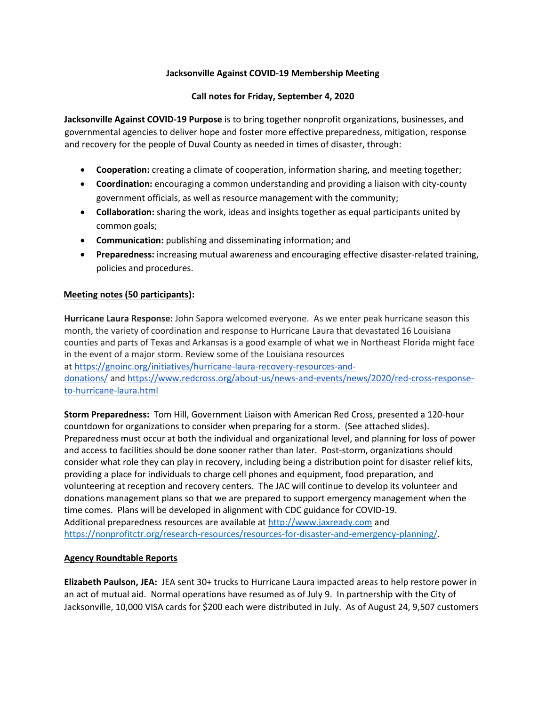# **Jacksonville Against COVID-19 Membership Meeting**

# **Call notes for Friday, September 4, 2020**

**Jacksonville Against COVID-19 Purpose** is to bring together nonprofit organizations, businesses, and governmental agencies to deliver hope and foster more effective preparedness, mitigation, response and recovery for the people of Duval County as needed in times of disaster, through:

- **Cooperation:** creating a climate of cooperation, information sharing, and meeting together;
- **Coordination:** encouraging a common understanding and providing a liaison with city-county government officials, as well as resource management with the community;
- **Collaboration:** sharing the work, ideas and insights together as equal participants united by common goals;
- **Communication:** publishing and disseminating information; and
- **Preparedness:** increasing mutual awareness and encouraging effective disaster-related training, policies and procedures.

## **Meeting notes (50 participants):**

**Hurricane Laura Response:** John Sapora welcomed everyone. As we enter peak hurricane season this month, the variety of coordination and response to Hurricane Laura that devastated 16 Louisiana counties and parts of Texas and Arkansas is a good example of what we in Northeast Florida might face in the event of a major storm. Review some of the Louisiana resources at [https://gnoinc.org/initiatives/hurricane-laura-recovery-resources-and](https://gnoinc.org/initiatives/hurricane-laura-recovery-resources-and-donations/)[donations/](https://gnoinc.org/initiatives/hurricane-laura-recovery-resources-and-donations/) and [https://www.redcross.org/about-us/news-and-events/news/2020/red-cross-response-](https://www.redcross.org/about-us/news-and-events/news/2020/red-cross-response-to-hurricane-laura.html)

#### [to-hurricane-laura.html](https://www.redcross.org/about-us/news-and-events/news/2020/red-cross-response-to-hurricane-laura.html)

**Storm Preparedness:** Tom Hill, Government Liaison with American Red Cross, presented a 120-hour countdown for organizations to consider when preparing for a storm. (See attached slides). Preparedness must occur at both the individual and organizational level, and planning for loss of power and access to facilities should be done sooner rather than later. Post-storm, organizations should consider what role they can play in recovery, including being a distribution point for disaster relief kits, providing a place for individuals to charge cell phones and equipment, food preparation, and volunteering at reception and recovery centers. The JAC will continue to develop its volunteer and donations management plans so that we are prepared to support emergency management when the time comes. Plans will be developed in alignment with CDC guidance for COVID-19. Additional preparedness resources are available a[t http://www.jaxready.com](http://www.jaxready.com/) and [https://nonprofitctr.org/research-resources/resources-for-disaster-and-emergency-planning/.](https://nonprofitctr.org/research-resources/resources-for-disaster-and-emergency-planning/)

## **Agency Roundtable Reports**

**Elizabeth Paulson, JEA:** JEA sent 30+ trucks to Hurricane Laura impacted areas to help restore power in an act of mutual aid. Normal operations have resumed as of July 9. In partnership with the City of Jacksonville, 10,000 VISA cards for \$200 each were distributed in July. As of August 24, 9,507 customers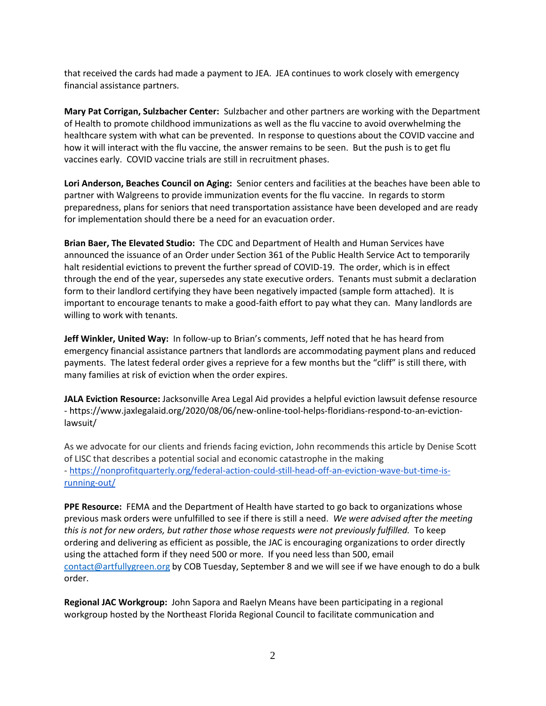that received the cards had made a payment to JEA. JEA continues to work closely with emergency financial assistance partners.

**Mary Pat Corrigan, Sulzbacher Center:** Sulzbacher and other partners are working with the Department of Health to promote childhood immunizations as well as the flu vaccine to avoid overwhelming the healthcare system with what can be prevented. In response to questions about the COVID vaccine and how it will interact with the flu vaccine, the answer remains to be seen. But the push is to get flu vaccines early. COVID vaccine trials are still in recruitment phases.

**Lori Anderson, Beaches Council on Aging:** Senior centers and facilities at the beaches have been able to partner with Walgreens to provide immunization events for the flu vaccine. In regards to storm preparedness, plans for seniors that need transportation assistance have been developed and are ready for implementation should there be a need for an evacuation order.

**Brian Baer, The Elevated Studio:** The CDC and Department of Health and Human Services have announced the issuance of an Order under Section 361 of the Public Health Service Act to temporarily halt residential evictions to prevent the further spread of COVID-19. The order, which is in effect through the end of the year, supersedes any state executive orders. Tenants must submit a declaration form to their landlord certifying they have been negatively impacted (sample form attached). It is important to encourage tenants to make a good-faith effort to pay what they can. Many landlords are willing to work with tenants.

**Jeff Winkler, United Way:** In follow-up to Brian's comments, Jeff noted that he has heard from emergency financial assistance partners that landlords are accommodating payment plans and reduced payments. The latest federal order gives a reprieve for a few months but the "cliff" is still there, with many families at risk of eviction when the order expires.

**JALA Eviction Resource:** Jacksonville Area Legal Aid provides a helpful eviction lawsuit defense resource - https://www.jaxlegalaid.org/2020/08/06/new-online-tool-helps-floridians-respond-to-an-evictionlawsuit/

As we advocate for our clients and friends facing eviction, John recommends this article by Denise Scott of LISC that describes a potential social and economic catastrophe in the making - [https://nonprofitquarterly.org/federal-action-could-still-head-off-an-eviction-wave-but-time-is](https://nonprofitquarterly.org/federal-action-could-still-head-off-an-eviction-wave-but-time-is-running-out/)[running-out/](https://nonprofitquarterly.org/federal-action-could-still-head-off-an-eviction-wave-but-time-is-running-out/)

**PPE Resource:** FEMA and the Department of Health have started to go back to organizations whose previous mask orders were unfulfilled to see if there is still a need. *We were advised after the meeting this is not for new orders, but rather those whose requests were not previously fulfilled.* To keep ordering and delivering as efficient as possible, the JAC is encouraging organizations to order directly using the attached form if they need 500 or more. If you need less than 500, email [contact@artfullygreen.org](mailto:coad@duvaldisasterrecovery.org) by COB Tuesday, September 8 and we will see if we have enough to do a bulk order.

**Regional JAC Workgroup:** John Sapora and Raelyn Means have been participating in a regional workgroup hosted by the Northeast Florida Regional Council to facilitate communication and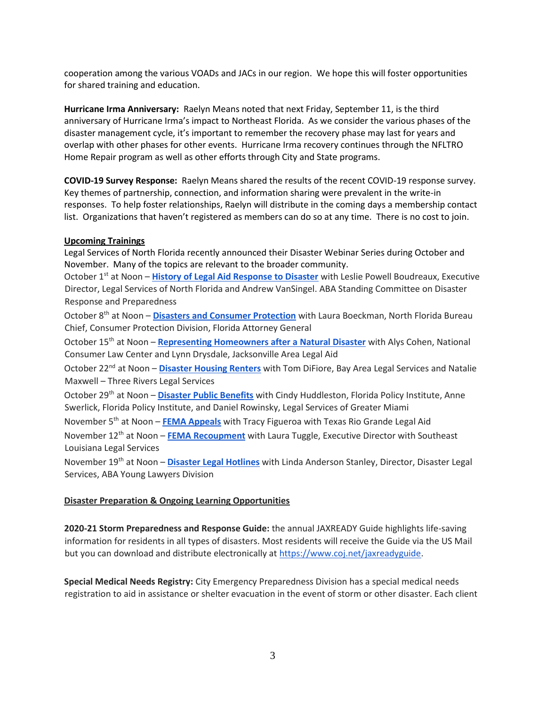cooperation among the various VOADs and JACs in our region. We hope this will foster opportunities for shared training and education.

**Hurricane Irma Anniversary:** Raelyn Means noted that next Friday, September 11, is the third anniversary of Hurricane Irma's impact to Northeast Florida. As we consider the various phases of the disaster management cycle, it's important to remember the recovery phase may last for years and overlap with other phases for other events. Hurricane Irma recovery continues through the NFLTRO Home Repair program as well as other efforts through City and State programs.

**COVID-19 Survey Response:** Raelyn Means shared the results of the recent COVID-19 response survey. Key themes of partnership, connection, and information sharing were prevalent in the write-in responses. To help foster relationships, Raelyn will distribute in the coming days a membership contact list. Organizations that haven't registered as members can do so at any time. There is no cost to join.

## **Upcoming Trainings**

Legal Services of North Florida recently announced their Disaster Webinar Series during October and November. Many of the topics are relevant to the broader community.

October 1st at Noon – **[History of Legal Aid Response to Disaster](https://nam02.safelinks.protection.outlook.com/?url=https%3A%2F%2Furldefense.proofpoint.com%2Fv2%2Furl%3Fu%3Dhttps-3A__us02web.zoom.us_webinar_register_WN-5FYfXsV9h3S-5FOo96j-2D6U43Pg%26d%3DDwMFAg%26c%3DVW5JLWXJaVcapeXcL_6RHSzucizvbTRh72MnzyhvSvo%26r%3DXyNGwwqxf37UkPMSBm_CXLOE5bKyrMAMDW1a_bHh7FiLAj6T74r_ISSOX-_jsXzK%26m%3DUohwibKfrltHW3PYPvlSRF65cRkaJxdlmb-l3u14irM%26s%3Dvj644Z0_71Sva_Fq8koLJcHMV3ougnJ2npa_x1f4x9Q%26e%3D&data=02%7C01%7C%7Cf46d7fffb7744eb3992208d8502eb90b%7Ccd53f466df104cbfb24b70fc223481df%7C0%7C0%7C637347508894223102&sdata=t3YLbS9xmdDemNd7HNII31y%2Fa0laJ3qlRuco0662MQ8%3D&reserved=0)** with Leslie Powell Boudreaux, Executive Director, Legal Services of North Florida and Andrew VanSingel. ABA Standing Committee on Disaster Response and Preparedness

October 8th at Noon – **[Disasters and Consumer Protection](https://nam02.safelinks.protection.outlook.com/?url=https%3A%2F%2Furldefense.proofpoint.com%2Fv2%2Furl%3Fu%3Dhttps-3A__us02web.zoom.us_webinar_register_WN-5FQ-5F2xB8BWTH-2DaKBmg1waqCg%26d%3DDwMFAg%26c%3DVW5JLWXJaVcapeXcL_6RHSzucizvbTRh72MnzyhvSvo%26r%3DXyNGwwqxf37UkPMSBm_CXLOE5bKyrMAMDW1a_bHh7FiLAj6T74r_ISSOX-_jsXzK%26m%3DUohwibKfrltHW3PYPvlSRF65cRkaJxdlmb-l3u14irM%26s%3DvA5Nzo9sMdCC0TcA17m3uUNEwbU4zqlQ1EzjO92arP4%26e%3D&data=02%7C01%7C%7Cf46d7fffb7744eb3992208d8502eb90b%7Ccd53f466df104cbfb24b70fc223481df%7C0%7C0%7C637347508894233097&sdata=svRDFr3pbpAg%2F0bNDWv7f0pnaFzMqvLPggikKusGK2Q%3D&reserved=0)** with Laura Boeckman, North Florida Bureau Chief, Consumer Protection Division, Florida Attorney General

October 15th at Noon – **[Representing Homeowners after a Natural Disaster](https://nam02.safelinks.protection.outlook.com/?url=https%3A%2F%2Furldefense.proofpoint.com%2Fv2%2Furl%3Fu%3Dhttps-3A__us02web.zoom.us_webinar_register_WN-5Ftasq-2D7YWSgeIRXj4PqmJMA%26d%3DDwMFAg%26c%3DVW5JLWXJaVcapeXcL_6RHSzucizvbTRh72MnzyhvSvo%26r%3DXyNGwwqxf37UkPMSBm_CXLOE5bKyrMAMDW1a_bHh7FiLAj6T74r_ISSOX-_jsXzK%26m%3DUohwibKfrltHW3PYPvlSRF65cRkaJxdlmb-l3u14irM%26s%3D8uyIBw9g56vTNqSnSHKKK08HwqXz1jGjRY87VE1O5b0%26e%3D&data=02%7C01%7C%7Cf46d7fffb7744eb3992208d8502eb90b%7Ccd53f466df104cbfb24b70fc223481df%7C0%7C0%7C637347508894243093&sdata=IzCSVGyKoyRTXXVpaErVtnZ%2BLCr19HAP7X17R0oEiyw%3D&reserved=0)** with Alys Cohen, National Consumer Law Center and Lynn Drysdale, Jacksonville Area Legal Aid

October 22nd at Noon – **[Disaster Housing Renters](https://nam02.safelinks.protection.outlook.com/?url=https%3A%2F%2Furldefense.proofpoint.com%2Fv2%2Furl%3Fu%3Dhttps-3A__us02web.zoom.us_webinar_register_WN-5FSXLmzgPzS3OBdZVhYRztAA%26d%3DDwMFAg%26c%3DVW5JLWXJaVcapeXcL_6RHSzucizvbTRh72MnzyhvSvo%26r%3DXyNGwwqxf37UkPMSBm_CXLOE5bKyrMAMDW1a_bHh7FiLAj6T74r_ISSOX-_jsXzK%26m%3DUohwibKfrltHW3PYPvlSRF65cRkaJxdlmb-l3u14irM%26s%3DEDRSOC2j3T9kDdrldHDEgG3EgFbTA_xSkV7rgQ6hBbs%26e%3D&data=02%7C01%7C%7Cf46d7fffb7744eb3992208d8502eb90b%7Ccd53f466df104cbfb24b70fc223481df%7C0%7C0%7C637347508894243093&sdata=dEGQRghHkNcDvDb5biCN0MYNjEmAFiAvLnYUo42okhs%3D&reserved=0)** with Tom DiFiore, Bay Area Legal Services and Natalie Maxwell – Three Rivers Legal Services

October 29th at Noon – **[Disaster Public Benefits](https://nam02.safelinks.protection.outlook.com/?url=https%3A%2F%2Furldefense.proofpoint.com%2Fv2%2Furl%3Fu%3Dhttps-3A__us02web.zoom.us_webinar_register_WN-5FS7T5NMO3RKK9w9B5MznUhA%26d%3DDwMFAg%26c%3DVW5JLWXJaVcapeXcL_6RHSzucizvbTRh72MnzyhvSvo%26r%3DXyNGwwqxf37UkPMSBm_CXLOE5bKyrMAMDW1a_bHh7FiLAj6T74r_ISSOX-_jsXzK%26m%3DUohwibKfrltHW3PYPvlSRF65cRkaJxdlmb-l3u14irM%26s%3DIw-3TvxCQa-MYUcMtKm7DO008TE2d_F8B_U59mCoaJI%26e%3D&data=02%7C01%7C%7Cf46d7fffb7744eb3992208d8502eb90b%7Ccd53f466df104cbfb24b70fc223481df%7C0%7C0%7C637347508894253088&sdata=FIqTNAlApwPkG%2BWZY2vPsssh8%2BuchAtodZzO9BD3LnE%3D&reserved=0)** with Cindy Huddleston, Florida Policy Institute, Anne Swerlick, Florida Policy Institute, and Daniel Rowinsky, Legal Services of Greater Miami

November 5th at Noon – **[FEMA Appeals](https://nam02.safelinks.protection.outlook.com/?url=https%3A%2F%2Furldefense.proofpoint.com%2Fv2%2Furl%3Fu%3Dhttps-3A__us02web.zoom.us_webinar_register_WN-5FPUYqrfYUS8mj89MIC-2D0M8A%26d%3DDwMFAg%26c%3DVW5JLWXJaVcapeXcL_6RHSzucizvbTRh72MnzyhvSvo%26r%3DXyNGwwqxf37UkPMSBm_CXLOE5bKyrMAMDW1a_bHh7FiLAj6T74r_ISSOX-_jsXzK%26m%3DUohwibKfrltHW3PYPvlSRF65cRkaJxdlmb-l3u14irM%26s%3DutPjCQsgYIfzbyJxw6pvimC05FpkGifkS_nCcV42XpU%26e%3D&data=02%7C01%7C%7Cf46d7fffb7744eb3992208d8502eb90b%7Ccd53f466df104cbfb24b70fc223481df%7C0%7C0%7C637347508894253088&sdata=KtQCts4x7W102BGN9YgB31oDG%2FKwdvTQmXZU%2Fz6mE1w%3D&reserved=0)** with Tracy Figueroa with Texas Rio Grande Legal Aid

November 12th at Noon – **[FEMA Recoupment](https://nam02.safelinks.protection.outlook.com/?url=https%3A%2F%2Furldefense.proofpoint.com%2Fv2%2Furl%3Fu%3Dhttps-3A__us02web.zoom.us_webinar_register_WN-5FC0kXDxhEQLal6wRSRDvV8A%26d%3DDwMFAg%26c%3DVW5JLWXJaVcapeXcL_6RHSzucizvbTRh72MnzyhvSvo%26r%3DXyNGwwqxf37UkPMSBm_CXLOE5bKyrMAMDW1a_bHh7FiLAj6T74r_ISSOX-_jsXzK%26m%3DUohwibKfrltHW3PYPvlSRF65cRkaJxdlmb-l3u14irM%26s%3D3NJZtqy4qeQ5DBapLkDAbuW_YhZsoxV5tjRTrLO9PuE%26e%3D&data=02%7C01%7C%7Cf46d7fffb7744eb3992208d8502eb90b%7Ccd53f466df104cbfb24b70fc223481df%7C0%7C0%7C637347508894263081&sdata=KwoQhr1VnY%2Fvi3Ah25Wyj0niLfE1TsJhK7FK59l1o2Q%3D&reserved=0)** with Laura Tuggle, Executive Director with Southeast Louisiana Legal Services

November 19th at Noon – **[Disaster Legal Hotlines](https://nam02.safelinks.protection.outlook.com/?url=https%3A%2F%2Furldefense.proofpoint.com%2Fv2%2Furl%3Fu%3Dhttps-3A__us02web.zoom.us_webinar_register_WN-5FanK1K2PVQOKS-5FY1z4TFzKQ%26d%3DDwMFAg%26c%3DVW5JLWXJaVcapeXcL_6RHSzucizvbTRh72MnzyhvSvo%26r%3DXyNGwwqxf37UkPMSBm_CXLOE5bKyrMAMDW1a_bHh7FiLAj6T74r_ISSOX-_jsXzK%26m%3DUohwibKfrltHW3PYPvlSRF65cRkaJxdlmb-l3u14irM%26s%3Df9uTKF7RNJrnGgBjM5wHVVoHR42MU8LSP98OPSC196s%26e%3D&data=02%7C01%7C%7Cf46d7fffb7744eb3992208d8502eb90b%7Ccd53f466df104cbfb24b70fc223481df%7C0%7C0%7C637347508894273087&sdata=PEiPc0W48IQCtC%2F9CyB3Fk%2Fzf84D5yXlZl3AARoPvNU%3D&reserved=0)** with Linda Anderson Stanley, Director, Disaster Legal Services, ABA Young Lawyers Division

## **Disaster Preparation & Ongoing Learning Opportunities**

**2020-21 Storm Preparedness and Response Guide:** the annual JAXREADY Guide highlights life-saving information for residents in all types of disasters. Most residents will receive the Guide via the US Mail but you can download and distribute electronically at [https://www.coj.net/jaxreadyguide.](https://www.coj.net/jaxreadyguide)

**Special Medical Needs Registry:** City Emergency Preparedness Division has a special medical needs registration to aid in assistance or shelter evacuation in the event of storm or other disaster. Each client